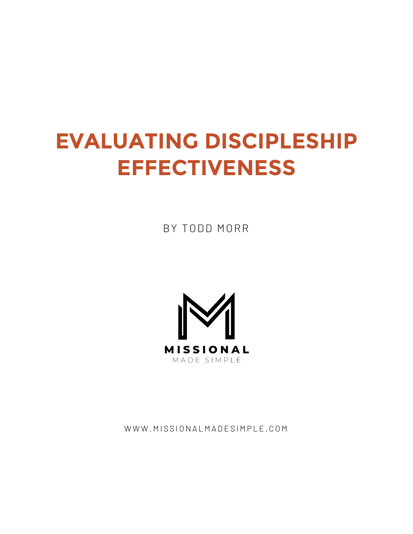# **EVALUATING DISCIPLESHIP EFFECTIVENESS**

BY TODD MORR



WWW.MISSIONALMADESIMPLE.COM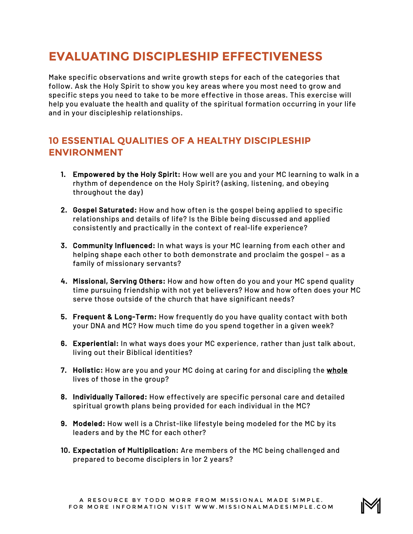## **EVALUATING DISCIPLESHIP EFFECTIVENESS**

Make specific observations and write growth steps for each of the categories that follow. Ask the Holy Spirit to show you key areas where you most need to grow and specific steps you need to take to be more effective in those areas. This exercise will help you evaluate the health and quality of the spiritual formation occurring in your life and in your discipleship relationships.

## **10 ESSENTIAL QUALITIES OF A HEALTHY DISCIPLESHIP ENVIRONMENT**

- 1. Empowered by the Holy Spirit: How well are you and your MC learning to walk in a rhythm of dependence on the Holy Spirit? (asking, listening, and obeying throughout the day)
- 2. Gospel Saturated: How and how often is the gospel being applied to specific relationships and details of life? Is the Bible being discussed and applied consistently and practically in the context of real-life experience?
- 3. Community Influenced: In what ways is your MC learning from each other and helping shape each other to both demonstrate and proclaim the gospel – as a family of missionary servants?
- 4. Missional, Serving Others: How and how often do you and your MC spend quality time pursuing friendship with not yet believers? How and how often does your MC serve those outside of the church that have significant needs?
- 5. Frequent & Long-Term: How frequently do you have quality contact with both your DNA and MC? How much time do you spend together in a given week?
- 6. Experiential: In what ways does your MC experience, rather than just talk about, living out their Biblical identities?
- 7. Holistic: How are you and your MC doing at caring for and discipling the whole lives of those in the group?
- 8. Individually Tailored: How effectively are specific personal care and detailed spiritual growth plans being provided for each individual in the MC?
- 9. Modeled: How well is a Christ-like lifestyle being modeled for the MC by its leaders and by the MC for each other?
- 10. Expectation of Multiplication: Are members of the MC being challenged and prepared to become disciplers in 1or 2 years?

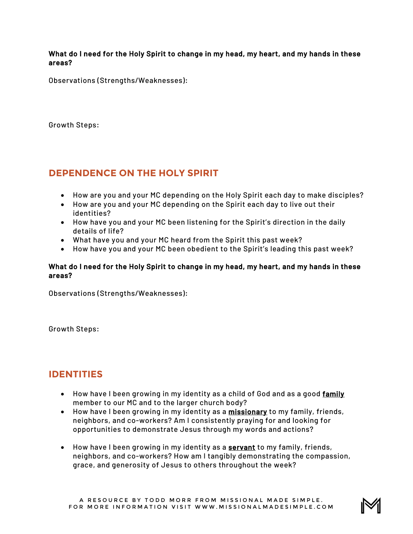What do I need for the Holy Spirit to change in my head, my heart, and my hands in these areas?

Observations (Strengths/Weaknesses):

Growth Steps:

## **DEPENDENCE ON THE HOLY SPIRIT**

- How are you and your MC depending on the Holy Spirit each day to make disciples?
- How are you and your MC depending on the Spirit each day to live out their identities?
- How have you and your MC been listening for the Spirit's direction in the daily details of life?
- What have you and your MC heard from the Spirit this past week?
- How have you and your MC been obedient to the Spirit's leading this past week?

#### What do I need for the Holy Spirit to change in my head, my heart, and my hands in these areas?

Observations (Strengths/Weaknesses):

Growth Steps:

## **IDENTITIES**

- How have I been growing in my identity as a child of God and as a good family member to our MC and to the larger church body?
- How have I been growing in my identity as a missionary to my family, friends, neighbors, and co-workers? Am I consistently praying for and looking for opportunities to demonstrate Jesus through my words and actions?
- How have I been growing in my identity as a servant to my family, friends, neighbors, and co-workers? How am I tangibly demonstrating the compassion, grace, and generosity of Jesus to others throughout the week?

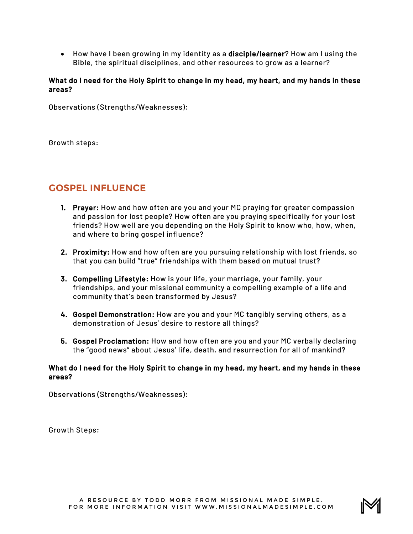• How have I been growing in my identity as a **disciple/learner**? How am I using the Bible, the spiritual disciplines, and other resources to grow as a learner?

#### What do I need for the Holy Spirit to change in my head, my heart, and my hands in these areas?

Observations (Strengths/Weaknesses):

Growth steps:

## **GOSPEL INFLUENCE**

- 1. Prayer: How and how often are you and your MC praying for greater compassion and passion for lost people? How often are you praying specifically for your lost friends? How well are you depending on the Holy Spirit to know who, how, when, and where to bring gospel influence?
- 2. Proximity: How and how often are you pursuing relationship with lost friends, so that you can build "true" friendships with them based on mutual trust?
- 3. Compelling Lifestyle: How is your life, your marriage, your family, your friendships, and your missional community a compelling example of a life and community that's been transformed by Jesus?
- 4. Gospel Demonstration: How are you and your MC tangibly serving others, as a demonstration of Jesus' desire to restore all things?
- 5. Gospel Proclamation: How and how often are you and your MC verbally declaring the "good news" about Jesus' life, death, and resurrection for all of mankind?

#### What do I need for the Holy Spirit to change in my head, my heart, and my hands in these areas?

Observations (Strengths/Weaknesses):

Growth Steps: